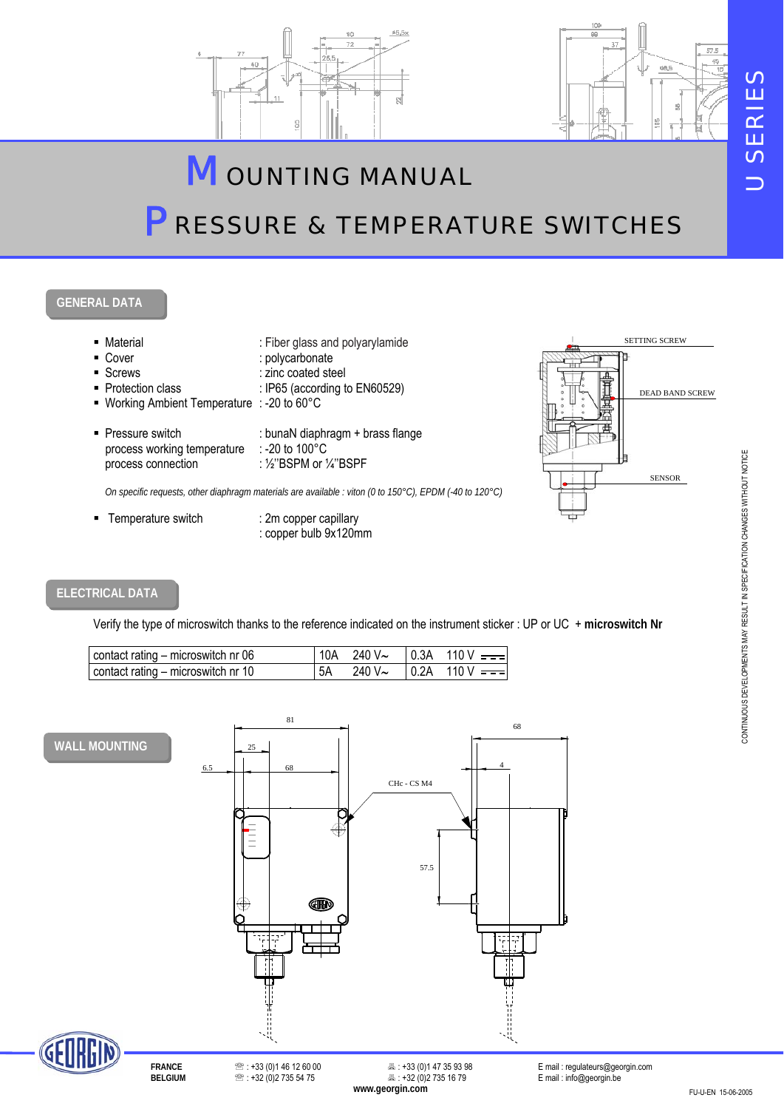

# *M OUNTING MANUAL P RESSURE & TEMPERATURE SWITCHES*

## **GENERAL DATA**



### **ELECTRICAL DATA**

Verify the type of microswitch thanks to the reference indicated on the instrument sticker : UP or UC + **microswitch Nr**

| contact rating – microswitch nr 06 | 10A |  | . 240 V~ I 0.3A   110 V <del>===</del> |
|------------------------------------|-----|--|----------------------------------------|
| contact rating - microswitch nr 10 | 5A  |  | 240 V~ $\vert$ 0.2A 110 V ===          |





**B** : +32 (0)2 735 16 79 E mail : info@georgin.be<br>www.qeorgin.com

**FRANCE** ℡ : +33 (0)1 46 12 60 00 : +33 (0)1 47 35 93 98 E mail : regulateurs@georgin.com

*U SERIES*

**JSERIES**